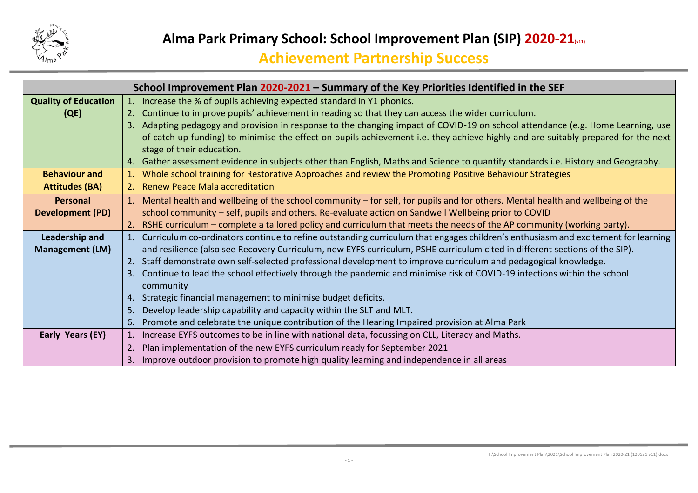

|                                                                                                                                   | School Improvement Plan 2020-2021 – Summary of the Key Priorities Identified in the SEF                                              |  |  |  |  |  |  |
|-----------------------------------------------------------------------------------------------------------------------------------|--------------------------------------------------------------------------------------------------------------------------------------|--|--|--|--|--|--|
| <b>Quality of Education</b>                                                                                                       | 1. Increase the % of pupils achieving expected standard in Y1 phonics.                                                               |  |  |  |  |  |  |
| (QE)                                                                                                                              | Continue to improve pupils' achievement in reading so that they can access the wider curriculum.<br>2.                               |  |  |  |  |  |  |
|                                                                                                                                   | Adapting pedagogy and provision in response to the changing impact of COVID-19 on school attendance (e.g. Home Learning, use         |  |  |  |  |  |  |
| of catch up funding) to minimise the effect on pupils achievement i.e. they achieve highly and are suitably prepared for the next |                                                                                                                                      |  |  |  |  |  |  |
|                                                                                                                                   | stage of their education.                                                                                                            |  |  |  |  |  |  |
|                                                                                                                                   | 4. Gather assessment evidence in subjects other than English, Maths and Science to quantify standards i.e. History and Geography.    |  |  |  |  |  |  |
| <b>Behaviour and</b>                                                                                                              | Whole school training for Restorative Approaches and review the Promoting Positive Behaviour Strategies                              |  |  |  |  |  |  |
| <b>Attitudes (BA)</b>                                                                                                             | 2. Renew Peace Mala accreditation                                                                                                    |  |  |  |  |  |  |
| Personal                                                                                                                          | 1. Mental health and wellbeing of the school community - for self, for pupils and for others. Mental health and wellbeing of the     |  |  |  |  |  |  |
| <b>Development (PD)</b>                                                                                                           | school community - self, pupils and others. Re-evaluate action on Sandwell Wellbeing prior to COVID                                  |  |  |  |  |  |  |
|                                                                                                                                   | RSHE curriculum – complete a tailored policy and curriculum that meets the needs of the AP community (working party).                |  |  |  |  |  |  |
| Leadership and                                                                                                                    | 1. Curriculum co-ordinators continue to refine outstanding curriculum that engages children's enthusiasm and excitement for learning |  |  |  |  |  |  |
| <b>Management (LM)</b>                                                                                                            | and resilience (also see Recovery Curriculum, new EYFS curriculum, PSHE curriculum cited in different sections of the SIP).          |  |  |  |  |  |  |
|                                                                                                                                   | Staff demonstrate own self-selected professional development to improve curriculum and pedagogical knowledge.<br>2.                  |  |  |  |  |  |  |
|                                                                                                                                   | Continue to lead the school effectively through the pandemic and minimise risk of COVID-19 infections within the school              |  |  |  |  |  |  |
|                                                                                                                                   | community                                                                                                                            |  |  |  |  |  |  |
|                                                                                                                                   | Strategic financial management to minimise budget deficits.<br>4.                                                                    |  |  |  |  |  |  |
|                                                                                                                                   | Develop leadership capability and capacity within the SLT and MLT.<br>5.                                                             |  |  |  |  |  |  |
|                                                                                                                                   | Promote and celebrate the unique contribution of the Hearing Impaired provision at Alma Park<br>6.                                   |  |  |  |  |  |  |
| Early Years (EY)                                                                                                                  | Increase EYFS outcomes to be in line with national data, focussing on CLL, Literacy and Maths.                                       |  |  |  |  |  |  |
|                                                                                                                                   | Plan implementation of the new EYFS curriculum ready for September 2021<br>2.                                                        |  |  |  |  |  |  |
|                                                                                                                                   | Improve outdoor provision to promote high quality learning and independence in all areas<br>3.                                       |  |  |  |  |  |  |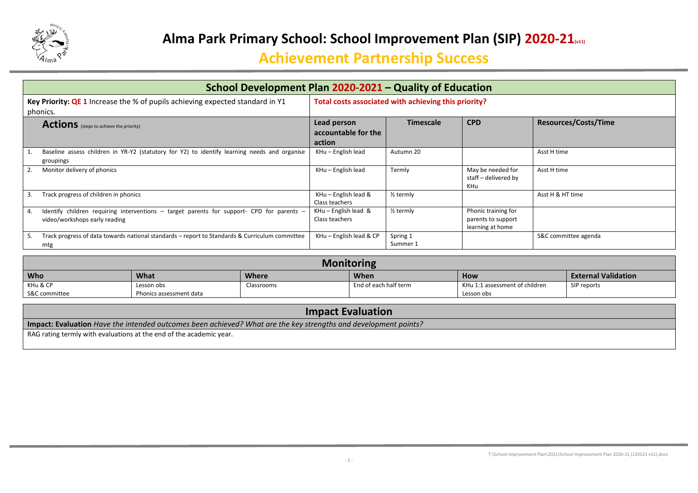

| School Development Plan 2020-2021 - Quality of Education                                                                             |                                                                                                               |                                                      |                                                               |                      |  |  |
|--------------------------------------------------------------------------------------------------------------------------------------|---------------------------------------------------------------------------------------------------------------|------------------------------------------------------|---------------------------------------------------------------|----------------------|--|--|
| Key Priority: QE 1 Increase the % of pupils achieving expected standard in Y1<br>phonics.                                            |                                                                                                               | Total costs associated with achieving this priority? |                                                               |                      |  |  |
| <b>Actions</b> (steps to achieve the priority)                                                                                       | <b>CPD</b><br><b>Resources/Costs/Time</b><br>Lead person<br><b>Timescale</b><br>accountable for the<br>action |                                                      |                                                               |                      |  |  |
| Baseline assess children in YR-Y2 (statutory for Y2) to identify learning needs and organise<br>groupings                            | KHu - English lead                                                                                            | Autumn 20                                            |                                                               | Asst H time          |  |  |
| Monitor delivery of phonics                                                                                                          | KHu - English lead                                                                                            | Termly                                               | May be needed for<br>staff - delivered by<br>KHu              | Asst H time          |  |  |
| Track progress of children in phonics                                                                                                | KHu - English lead &<br>Class teachers                                                                        | $\frac{1}{2}$ termly                                 |                                                               | Asst H & HT time     |  |  |
| Identify children requiring interventions $-$ target parents for support- CPD for parents $-$<br>4.<br>video/workshops early reading | $KHu$ – English lead &<br>Class teachers                                                                      | $\frac{1}{2}$ termly                                 | Phonic training for<br>parents to support<br>learning at home |                      |  |  |
| Track progress of data towards national standards – report to Standards & Curriculum committee<br>mtg                                | KHu - English lead & CP                                                                                       | Spring 1<br>Summer 1                                 |                                                               | S&C committee agenda |  |  |

| <b>Monitoring</b>                                                        |                         |            |                       |                                |             |  |  |  |
|--------------------------------------------------------------------------|-------------------------|------------|-----------------------|--------------------------------|-------------|--|--|--|
| <b>Who</b><br>What<br><b>External Validation</b><br>Where<br>When<br>How |                         |            |                       |                                |             |  |  |  |
| KHu & CP                                                                 | Lesson obs              | Classrooms | End of each half term | KHu 1:1 assessment of children | SIP reports |  |  |  |
| S&C committee                                                            | Phonics assessment data |            |                       | Lesson obs                     |             |  |  |  |

| <b>Impact Evaluation</b>                                                                                        |  |  |  |  |
|-----------------------------------------------------------------------------------------------------------------|--|--|--|--|
| Impact: Evaluation Have the intended outcomes been achieved? What are the key strengths and development points? |  |  |  |  |
| RAG rating termly with evaluations at the end of the academic year.                                             |  |  |  |  |
|                                                                                                                 |  |  |  |  |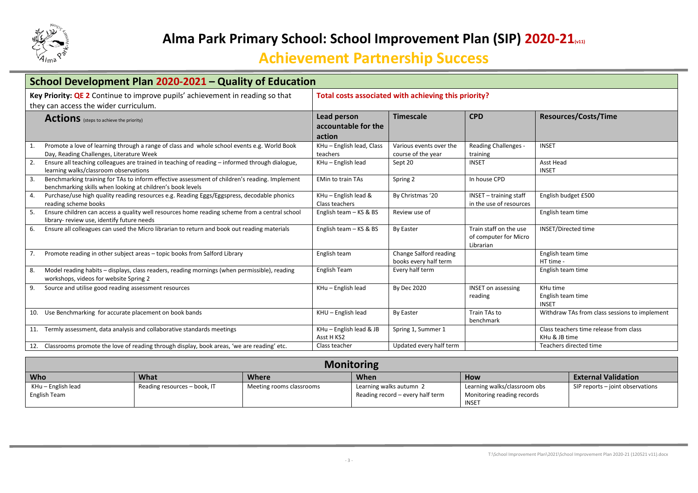

| School Development Plan 2020-2021 - Quality of Education                                                                                                          |                                                      |                                                 |                                                              |                                                         |  |  |
|-------------------------------------------------------------------------------------------------------------------------------------------------------------------|------------------------------------------------------|-------------------------------------------------|--------------------------------------------------------------|---------------------------------------------------------|--|--|
| Key Priority: QE 2 Continue to improve pupils' achievement in reading so that<br>they can access the wider curriculum.                                            | Total costs associated with achieving this priority? |                                                 |                                                              |                                                         |  |  |
| <b>Actions</b> (steps to achieve the priority)                                                                                                                    | Lead person<br>accountable for the<br>action         | <b>Timescale</b>                                | <b>CPD</b>                                                   | <b>Resources/Costs/Time</b>                             |  |  |
| Promote a love of learning through a range of class and whole school events e.g. World Book<br>1.<br>Day, Reading Challenges, Literature Week                     | KHu - English lead, Class<br>teachers                | Various events over the<br>course of the year   | <b>Reading Challenges -</b><br>training                      | <b>INSET</b>                                            |  |  |
| Ensure all teaching colleagues are trained in teaching of reading - informed through dialogue,<br>learning walks/classroom observations                           | KHu - English lead                                   | Sept 20                                         | <b>INSET</b>                                                 | Asst Head<br><b>INSET</b>                               |  |  |
| Benchmarking training for TAs to inform effective assessment of children's reading. Implement<br>3.<br>benchmarking skills when looking at children's book levels | <b>EMin to train TAs</b>                             | Spring 2                                        | In house CPD                                                 |                                                         |  |  |
| Purchase/use high quality reading resources e.g. Reading Eggs/Eggspress, decodable phonics<br>4.<br>reading scheme books                                          | KHu - English lead &<br>Class teachers               | By Christmas '20                                | INSET - training staff<br>in the use of resources            | English budget £500                                     |  |  |
| Ensure children can access a quality well resources home reading scheme from a central school<br>.5<br>library- review use, identify future needs                 | English team - KS & BS                               | Review use of                                   |                                                              | English team time                                       |  |  |
| Ensure all colleagues can used the Micro librarian to return and book out reading materials<br>6.                                                                 | English team - KS & BS                               | By Easter                                       | Train staff on the use<br>of computer for Micro<br>Librarian | INSET/Directed time                                     |  |  |
| Promote reading in other subject areas - topic books from Salford Library<br>7.                                                                                   | English team                                         | Change Salford reading<br>books every half term |                                                              | English team time<br>HT time -                          |  |  |
| Model reading habits - displays, class readers, reading mornings (when permissible), reading<br>8.<br>workshops, videos for website Spring 2                      | English Team                                         | Every half term                                 |                                                              | English team time                                       |  |  |
| Source and utilise good reading assessment resources<br>9.                                                                                                        | KHu - English lead                                   | <b>By Dec 2020</b>                              | <b>INSET on assessing</b><br>reading                         | KHu time<br>English team time<br><b>INSET</b>           |  |  |
| Use Benchmarking for accurate placement on book bands<br>10.                                                                                                      | $KHU - English lead$                                 | <b>By Easter</b>                                | Train TAs to<br>benchmark                                    | Withdraw TAs from class sessions to implement           |  |  |
| Termly assessment, data analysis and collaborative standards meetings<br>11.                                                                                      | KHu - English lead & JB<br>Asst H KS2                | Spring 1, Summer 1                              |                                                              | Class teachers time release from class<br>KHu & JB time |  |  |
| Classrooms promote the love of reading through display, book areas, 'we are reading' etc.                                                                         | Class teacher                                        | Updated every half term                         |                                                              | Teachers directed time                                  |  |  |

| <b>Monitoring</b>                                                                      |                              |                          |                                  |                              |                                  |  |  |  |
|----------------------------------------------------------------------------------------|------------------------------|--------------------------|----------------------------------|------------------------------|----------------------------------|--|--|--|
| <b>Who</b><br>What<br><b>When</b><br><b>External Validation</b><br>Where<br><b>How</b> |                              |                          |                                  |                              |                                  |  |  |  |
| KHu – English lead                                                                     | Reading resources - book, IT | Meeting rooms classrooms | Learning walks autumn 2          | Learning walks/classroom obs | SIP reports - joint observations |  |  |  |
| English Team                                                                           |                              |                          | Reading record – every half term | Monitoring reading records   |                                  |  |  |  |
|                                                                                        |                              |                          |                                  | INSET                        |                                  |  |  |  |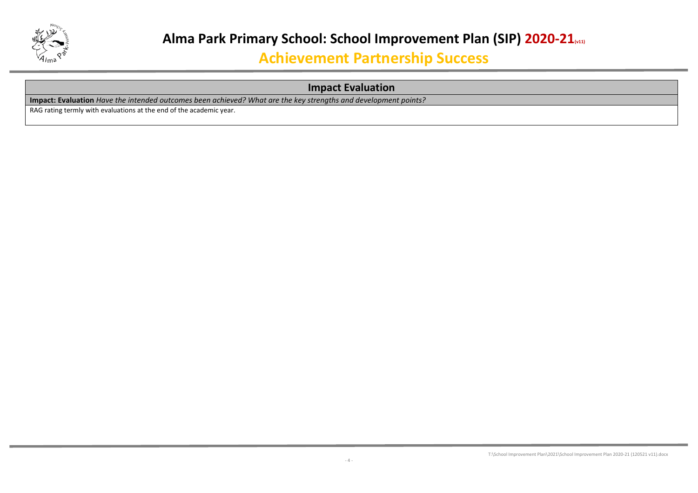

### **Impact Evaluation**

**Impact: Evaluation** *Have the intended outcomes been achieved? What are the key strengths and development points?*

RAG rating termly with evaluations at the end of the academic year.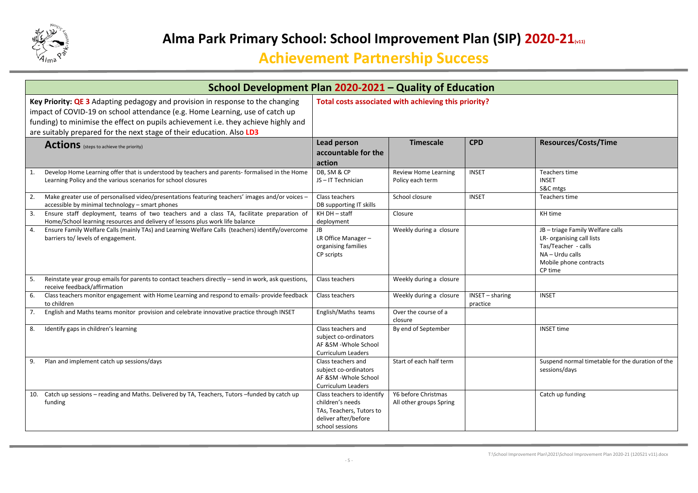

| School Development Plan 2020-2021 - Quality of Education                                                                                                                                                                                                                                                                      |                                                                                                                       |                                                      |                             |                                                                                                                                              |  |
|-------------------------------------------------------------------------------------------------------------------------------------------------------------------------------------------------------------------------------------------------------------------------------------------------------------------------------|-----------------------------------------------------------------------------------------------------------------------|------------------------------------------------------|-----------------------------|----------------------------------------------------------------------------------------------------------------------------------------------|--|
| Key Priority: QE 3 Adapting pedagogy and provision in response to the changing<br>impact of COVID-19 on school attendance (e.g. Home Learning, use of catch up<br>funding) to minimise the effect on pupils achievement i.e. they achieve highly and<br>are suitably prepared for the next stage of their education. Also LD3 |                                                                                                                       | Total costs associated with achieving this priority? |                             |                                                                                                                                              |  |
| <b>Actions</b> (steps to achieve the priority)                                                                                                                                                                                                                                                                                | <b>Lead person</b><br>accountable for the<br>action                                                                   | <b>Timescale</b>                                     | <b>CPD</b>                  | <b>Resources/Costs/Time</b>                                                                                                                  |  |
| Develop Home Learning offer that is understood by teachers and parents-formalised in the Home<br>1.<br>Learning Policy and the various scenarios for school closures                                                                                                                                                          | DB, SM & CP<br>JS-IT Technician                                                                                       | <b>Review Home Learning</b><br>Policy each term      | <b>INSET</b>                | Teachers time<br><b>INSET</b><br>S&C mtgs                                                                                                    |  |
| Make greater use of personalised video/presentations featuring teachers' images and/or voices -<br>2.<br>accessible by minimal technology - smart phones                                                                                                                                                                      | Class teachers<br>DB supporting IT skills                                                                             | School closure                                       | <b>INSET</b>                | Teachers time                                                                                                                                |  |
| Ensure staff deployment, teams of two teachers and a class TA, facilitate preparation of<br>3.<br>Home/School learning resources and delivery of lessons plus work life balance                                                                                                                                               | KH DH - staff<br>deployment                                                                                           | Closure                                              |                             | KH time                                                                                                                                      |  |
| Ensure Family Welfare Calls (mainly TAs) and Learning Welfare Calls (teachers) identify/overcome<br>4.<br>barriers to/ levels of engagement.                                                                                                                                                                                  | JB<br>LR Office Manager-<br>organising families<br>CP scripts                                                         | Weekly during a closure                              |                             | JB - triage Family Welfare calls<br>LR- organising call lists<br>Tas/Teacher - calls<br>NA - Urdu calls<br>Mobile phone contracts<br>CP time |  |
| Reinstate year group emails for parents to contact teachers directly - send in work, ask questions,<br>5.<br>receive feedback/affirmation                                                                                                                                                                                     | Class teachers                                                                                                        | Weekly during a closure                              |                             |                                                                                                                                              |  |
| Class teachers monitor engagement with Home Learning and respond to emails- provide feedback<br>6.<br>to children                                                                                                                                                                                                             | Class teachers                                                                                                        | Weekly during a closure                              | INSET - sharing<br>practice | <b>INSET</b>                                                                                                                                 |  |
| English and Maths teams monitor provision and celebrate innovative practice through INSET<br>7.                                                                                                                                                                                                                               | English/Maths teams                                                                                                   | Over the course of a<br>closure                      |                             |                                                                                                                                              |  |
| Identify gaps in children's learning<br>8.                                                                                                                                                                                                                                                                                    | Class teachers and<br>subject co-ordinators<br>AF &SM -Whole School<br><b>Curriculum Leaders</b>                      | By end of September                                  |                             | <b>INSET time</b>                                                                                                                            |  |
| Plan and implement catch up sessions/days<br>9.                                                                                                                                                                                                                                                                               | Class teachers and<br>subject co-ordinators<br>AF &SM -Whole School<br><b>Curriculum Leaders</b>                      | Start of each half term                              |                             | Suspend normal timetable for the duration of the<br>sessions/days                                                                            |  |
| 10. Catch up sessions - reading and Maths. Delivered by TA, Teachers, Tutors -funded by catch up<br>funding                                                                                                                                                                                                                   | Class teachers to identify<br>children's needs<br>TAs, Teachers, Tutors to<br>deliver after/before<br>school sessions | Y6 before Christmas<br>All other groups Spring       |                             | Catch up funding                                                                                                                             |  |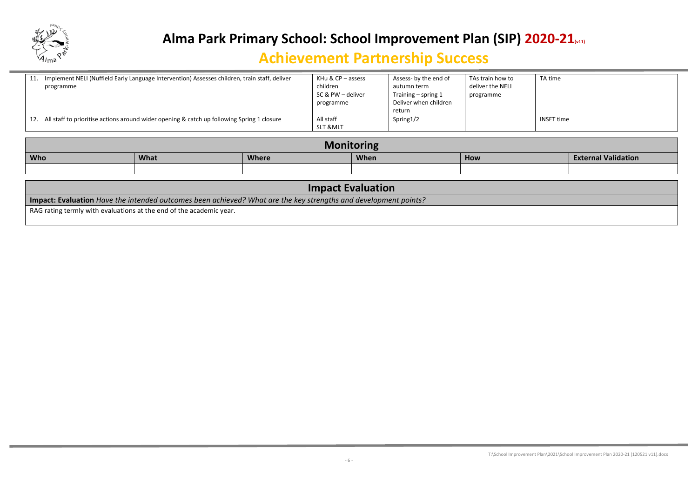

| Implement NELI (Nuffield Early Language Intervention) Assesses children, train staff, deliver<br>11. | KHu & CP – assess   | Assess- by the end of | TAs train how to | TA time           |
|------------------------------------------------------------------------------------------------------|---------------------|-----------------------|------------------|-------------------|
| programme                                                                                            | children            | autumn term           | deliver the NELI |                   |
|                                                                                                      | SC & PW – deliver   | Training $-$ spring 1 | programme        |                   |
|                                                                                                      | programme           | Deliver when children |                  |                   |
|                                                                                                      |                     | return                |                  |                   |
| All staff to prioritise actions around wider opening & catch up following Spring 1 closure<br>12.    | All staff           | Spring1/2             |                  | <b>INSET time</b> |
|                                                                                                      | <b>SLT &amp;MLT</b> |                       |                  |                   |

| Monitoring |                                                                          |  |  |  |  |  |  |  |
|------------|--------------------------------------------------------------------------|--|--|--|--|--|--|--|
| <b>Who</b> | What<br><b>External Validation</b><br><b>Where</b><br><b>When</b><br>How |  |  |  |  |  |  |  |
|            |                                                                          |  |  |  |  |  |  |  |

| <b>Impact Evaluation</b>                                                                                        |
|-----------------------------------------------------------------------------------------------------------------|
| Impact: Evaluation Have the intended outcomes been achieved? What are the key strengths and development points? |
| RAG rating termly with evaluations at the end of the academic year.                                             |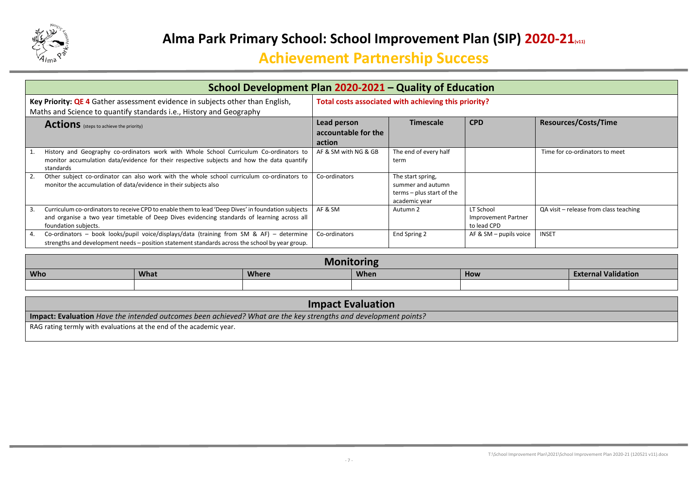

|    | School Development Plan 2020-2021 - Quality of Education                                                                                                                                                                  |                                              |                                                                                      |                                                 |                                        |  |  |
|----|---------------------------------------------------------------------------------------------------------------------------------------------------------------------------------------------------------------------------|----------------------------------------------|--------------------------------------------------------------------------------------|-------------------------------------------------|----------------------------------------|--|--|
|    | Key Priority: QE 4 Gather assessment evidence in subjects other than English,<br>Maths and Science to quantify standards i.e., History and Geography                                                                      |                                              | Total costs associated with achieving this priority?                                 |                                                 |                                        |  |  |
|    | <b>Actions</b> (steps to achieve the priority)                                                                                                                                                                            | Lead person<br>accountable for the<br>action | <b>Timescale</b>                                                                     | <b>CPD</b>                                      | <b>Resources/Costs/Time</b>            |  |  |
|    | History and Geography co-ordinators work with Whole School Curriculum Co-ordinators to<br>monitor accumulation data/evidence for their respective subjects and how the data quantify<br>standards                         | AF & SM with NG & GB                         | The end of every half<br>term                                                        |                                                 | Time for co-ordinators to meet         |  |  |
|    | Other subject co-ordinator can also work with the whole school curriculum co-ordinators to<br>monitor the accumulation of data/evidence in their subjects also                                                            | Co-ordinators                                | The start spring,<br>summer and autumn<br>terms – plus start of the<br>academic year |                                                 |                                        |  |  |
| 3. | Curriculum co-ordinators to receive CPD to enable them to lead 'Deep Dives' in foundation subjects<br>and organise a two year timetable of Deep Dives evidencing standards of learning across all<br>foundation subjects. | AF & SM                                      | Autumn 2                                                                             | LT School<br>Improvement Partner<br>to lead CPD | QA visit - release from class teaching |  |  |
| 4. | Co-ordinators - book looks/pupil voice/displays/data (training from SM & AF) - determine<br>strengths and development needs – position statement standards across the school by year group.                               | Co-ordinators                                | End Spring 2                                                                         | AF & $SM$ – pupils voice                        | <b>INSET</b>                           |  |  |

| M <sub>0</sub><br>oring                                                         |  |  |  |  |  |  |  |
|---------------------------------------------------------------------------------|--|--|--|--|--|--|--|
| <b>Who</b><br><b>External Validation</b><br>What<br><b>Where</b><br>When<br>How |  |  |  |  |  |  |  |
|                                                                                 |  |  |  |  |  |  |  |

| <b>Impact Evaluation</b>                                                                                        |  |  |  |  |  |
|-----------------------------------------------------------------------------------------------------------------|--|--|--|--|--|
| Impact: Evaluation Have the intended outcomes been achieved? What are the key strengths and development points? |  |  |  |  |  |
| RAG rating termly with evaluations at the end of the academic year.                                             |  |  |  |  |  |
|                                                                                                                 |  |  |  |  |  |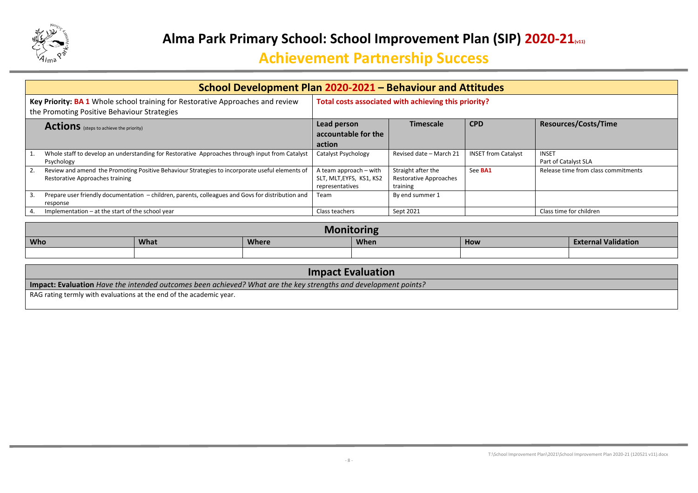

| School Development Plan 2020-2021 - Behaviour and Attitudes                                                                             |                                                                       |                                                                 |                            |                                      |  |  |  |
|-----------------------------------------------------------------------------------------------------------------------------------------|-----------------------------------------------------------------------|-----------------------------------------------------------------|----------------------------|--------------------------------------|--|--|--|
| Key Priority: BA 1 Whole school training for Restorative Approaches and review<br>the Promoting Positive Behaviour Strategies           | Total costs associated with achieving this priority?                  |                                                                 |                            |                                      |  |  |  |
| <b>Actions</b> (steps to achieve the priority)                                                                                          | Lead person<br>accountable for the<br>action                          | <b>Timescale</b>                                                | <b>CPD</b>                 | <b>Resources/Costs/Time</b>          |  |  |  |
| Whole staff to develop an understanding for Restorative Approaches through input from Catalyst<br>Psychology                            | Catalyst Psychology                                                   | Revised date - March 21                                         | <b>INSET from Catalyst</b> | <b>INSET</b><br>Part of Catalyst SLA |  |  |  |
| Review and amend the Promoting Positive Behaviour Strategies to incorporate useful elements of<br>2.<br>Restorative Approaches training | A team approach – with<br>SLT, MLT, EYFS, KS1, KS2<br>representatives | Straight after the<br><b>Restorative Approaches</b><br>training | See <b>BA1</b>             | Release time from class commitments  |  |  |  |
| Prepare user friendly documentation - children, parents, colleagues and Govs for distribution and<br>3.<br>response                     | Team                                                                  | By end summer 1                                                 |                            |                                      |  |  |  |
| Implementation $-$ at the start of the school year<br>4.                                                                                | Class teachers                                                        | Sept 2021                                                       |                            | Class time for children              |  |  |  |

| <b>Monitoring</b>                                                                             |  |  |  |  |  |  |  |  |
|-----------------------------------------------------------------------------------------------|--|--|--|--|--|--|--|--|
| <b>Who</b><br><b>External Validation</b><br><b>What</b><br><b>When</b><br><b>Where</b><br>How |  |  |  |  |  |  |  |  |
|                                                                                               |  |  |  |  |  |  |  |  |

| <b>Impact Evaluation</b>                                                                                        |
|-----------------------------------------------------------------------------------------------------------------|
| Impact: Evaluation Have the intended outcomes been achieved? What are the key strengths and development points? |
| RAG rating termly with evaluations at the end of the academic year.                                             |
|                                                                                                                 |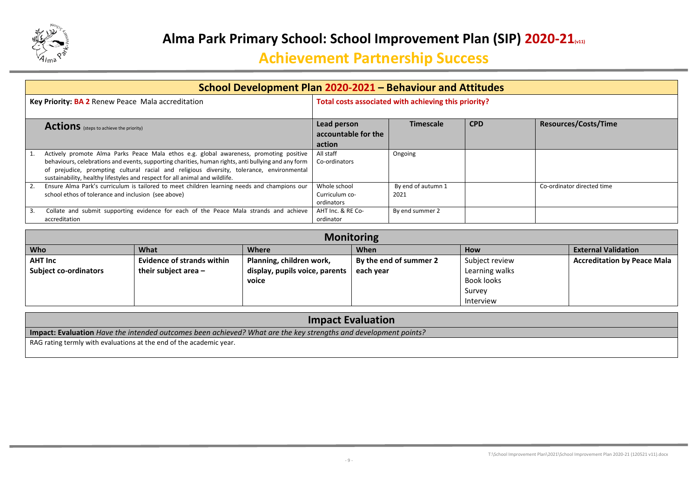

| School Development Plan 2020-2021 - Behaviour and Attitudes                                                                                                                                                                                                                                                                                                               |                                                      |                            |            |                             |  |  |  |
|---------------------------------------------------------------------------------------------------------------------------------------------------------------------------------------------------------------------------------------------------------------------------------------------------------------------------------------------------------------------------|------------------------------------------------------|----------------------------|------------|-----------------------------|--|--|--|
| Key Priority: BA 2 Renew Peace Mala accreditation                                                                                                                                                                                                                                                                                                                         | Total costs associated with achieving this priority? |                            |            |                             |  |  |  |
| <b>Actions</b> (steps to achieve the priority)                                                                                                                                                                                                                                                                                                                            | Lead person<br>accountable for the<br>action         | <b>Timescale</b>           | <b>CPD</b> | <b>Resources/Costs/Time</b> |  |  |  |
| Actively promote Alma Parks Peace Mala ethos e.g. global awareness, promoting positive<br>behaviours, celebrations and events, supporting charities, human rights, anti bullying and any form<br>of prejudice, prompting cultural racial and religious diversity, tolerance, environmental<br>sustainability, healthy lifestyles and respect for all animal and wildlife. | All staff<br>Co-ordinators                           | Ongoing                    |            |                             |  |  |  |
| Ensure Alma Park's curriculum is tailored to meet children learning needs and champions our<br>school ethos of tolerance and inclusion (see above)                                                                                                                                                                                                                        | Whole school<br>Curriculum co-<br>ordinators         | By end of autumn 1<br>2021 |            | Co-ordinator directed time  |  |  |  |
| Collate and submit supporting evidence for each of the Peace Mala strands and achieve<br>3.<br>accreditation                                                                                                                                                                                                                                                              | AHT Inc. & RE Co-<br>ordinator                       | By end summer 2            |            |                             |  |  |  |

| <b>Monitoring</b>            |                                   |                                |                            |                   |                                    |  |  |
|------------------------------|-----------------------------------|--------------------------------|----------------------------|-------------------|------------------------------------|--|--|
| <b>Who</b>                   | What                              | <b>How</b>                     | <b>External Validation</b> |                   |                                    |  |  |
| <b>AHT Inc</b>               | <b>Evidence of strands within</b> | Planning, children work,       | By the end of summer 2     | Subject review    | <b>Accreditation by Peace Mala</b> |  |  |
| <b>Subject co-ordinators</b> | their subject area $-$            | display, pupils voice, parents | each year                  | Learning walks    |                                    |  |  |
|                              |                                   | voice                          |                            | <b>Book looks</b> |                                    |  |  |
|                              |                                   |                                |                            | Survey            |                                    |  |  |
|                              |                                   |                                |                            | Interview         |                                    |  |  |

| <b>Impact Evaluation</b>                                                                                                                                                               |  |  |  |  |  |
|----------------------------------------------------------------------------------------------------------------------------------------------------------------------------------------|--|--|--|--|--|
|                                                                                                                                                                                        |  |  |  |  |  |
|                                                                                                                                                                                        |  |  |  |  |  |
| Impact: Evaluation Have the intended outcomes been achieved? What are the key strengths and development points?<br>RAG rating termly with evaluations at the end of the academic year. |  |  |  |  |  |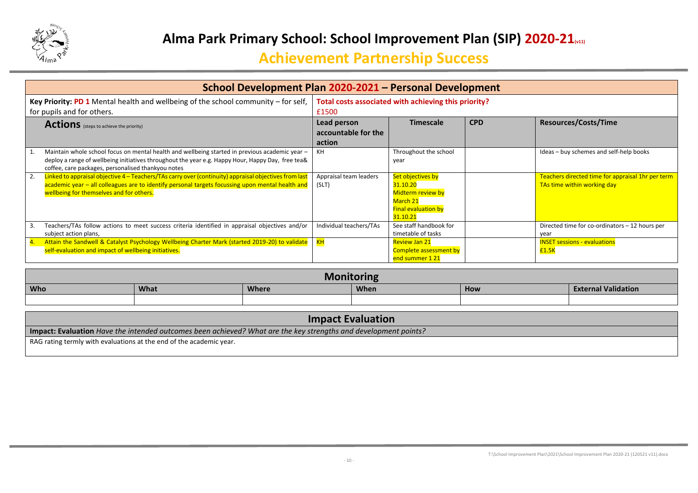

| School Development Plan 2020-2021 - Personal Development                                                                                                                                                                                                    |                                                               |                                                                                                          |            |                                                                                  |  |  |  |
|-------------------------------------------------------------------------------------------------------------------------------------------------------------------------------------------------------------------------------------------------------------|---------------------------------------------------------------|----------------------------------------------------------------------------------------------------------|------------|----------------------------------------------------------------------------------|--|--|--|
| Key Priority: PD 1 Mental health and wellbeing of the school community – for self,<br>for pupils and for others.                                                                                                                                            | Total costs associated with achieving this priority?<br>£1500 |                                                                                                          |            |                                                                                  |  |  |  |
| <b>Actions</b> (steps to achieve the priority)                                                                                                                                                                                                              | Lead person<br>accountable for the<br>action                  | <b>Timescale</b>                                                                                         | <b>CPD</b> | <b>Resources/Costs/Time</b>                                                      |  |  |  |
| Maintain whole school focus on mental health and wellbeing started in previous academic year -<br>deploy a range of wellbeing initiatives throughout the year e.g. Happy Hour, Happy Day, free tea&<br>coffee, care packages, personalised thankyou notes   | KН                                                            | Throughout the school<br>year                                                                            |            | Ideas - buy schemes and self-help books                                          |  |  |  |
| Linked to appraisal objective 4 – Teachers/TAs carry over (continuity) appraisal objectives from last<br>2.<br>academic year - all colleagues are to identify personal targets focussing upon mental health and<br>wellbeing for themselves and for others. | Appraisal team leaders<br>(SLT)                               | Set objectives by<br>31.10.20<br>Midterm review by<br>March 21<br><b>Final evaluation by</b><br>31.10.21 |            | Teachers directed time for appraisal 1hr per term<br>TAs time within working day |  |  |  |
| Teachers/TAs follow actions to meet success criteria identified in appraisal objectives and/or<br>3.<br>subject action plans,                                                                                                                               | Individual teachers/TAs                                       | See staff handbook for<br>timetable of tasks                                                             |            | Directed time for co-ordinators - 12 hours per<br>year                           |  |  |  |
| Attain the Sandwell & Catalyst Psychology Wellbeing Charter Mark (started 2019-20) to validate<br>self-evaluation and impact of wellbeing initiatives.                                                                                                      | KH                                                            | <b>Review Jan 21</b><br>Complete assessment by<br>end summer 1 21                                        |            | <b>INSET sessions - evaluations</b><br>£1.5K                                     |  |  |  |

| M <sub>0</sub><br>Farinc<br>UHIR                                                       |  |  |  |  |  |  |  |  |
|----------------------------------------------------------------------------------------|--|--|--|--|--|--|--|--|
| <b>Who</b><br><b>External Validation</b><br>What<br><b>Where</b><br><b>When</b><br>How |  |  |  |  |  |  |  |  |
|                                                                                        |  |  |  |  |  |  |  |  |

| <b>Impact Evaluation</b>                                                                                        |  |  |  |  |  |
|-----------------------------------------------------------------------------------------------------------------|--|--|--|--|--|
| Impact: Evaluation Have the intended outcomes been achieved? What are the key strengths and development points? |  |  |  |  |  |
| RAG rating termly with evaluations at the end of the academic year.                                             |  |  |  |  |  |
|                                                                                                                 |  |  |  |  |  |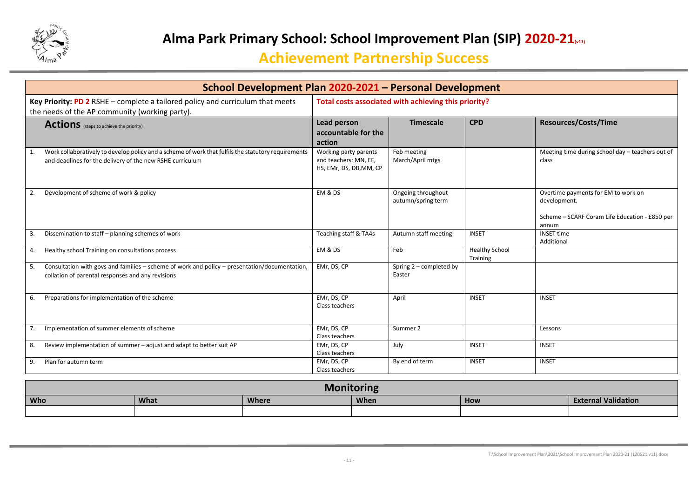

| School Development Plan 2020-2021 - Personal Development                                                                                                         |                                                                           |                                          |                                   |                                                                                                                |  |  |
|------------------------------------------------------------------------------------------------------------------------------------------------------------------|---------------------------------------------------------------------------|------------------------------------------|-----------------------------------|----------------------------------------------------------------------------------------------------------------|--|--|
| Key Priority: PD 2 RSHE - complete a tailored policy and curriculum that meets<br>the needs of the AP community (working party).                                 | Total costs associated with achieving this priority?                      |                                          |                                   |                                                                                                                |  |  |
| <b>Actions</b> (steps to achieve the priority)                                                                                                                   | Lead person<br>accountable for the<br>action                              | <b>Timescale</b>                         | <b>CPD</b>                        | <b>Resources/Costs/Time</b>                                                                                    |  |  |
| Work collaboratively to develop policy and a scheme of work that fulfils the statutory requirements<br>and deadlines for the delivery of the new RSHE curriculum | Working party parents<br>and teachers: MN, EF,<br>HS, EMr, DS, DB, MM, CP | Feb meeting<br>March/April mtgs          |                                   | Meeting time during school day - teachers out of<br>class                                                      |  |  |
| Development of scheme of work & policy<br>2.                                                                                                                     | EM & DS                                                                   | Ongoing throughout<br>autumn/spring term |                                   | Overtime payments for EM to work on<br>development.<br>Scheme - SCARF Coram Life Education - £850 per<br>annum |  |  |
| Dissemination to staff - planning schemes of work<br>3.                                                                                                          | Teaching staff & TA4s                                                     | Autumn staff meeting                     | <b>INSET</b>                      | <b>INSET time</b><br>Additional                                                                                |  |  |
| Healthy school Training on consultations process<br>4.                                                                                                           | EM & DS                                                                   | Feb                                      | <b>Healthy School</b><br>Training |                                                                                                                |  |  |
| Consultation with govs and families - scheme of work and policy - presentation/documentation,<br>5.<br>collation of parental responses and any revisions         | EMr, DS, CP                                                               | Spring 2 - completed by<br>Easter        |                                   |                                                                                                                |  |  |
| Preparations for implementation of the scheme<br>6.                                                                                                              | EMr, DS, CP<br>Class teachers                                             | April                                    | <b>INSET</b>                      | <b>INSET</b>                                                                                                   |  |  |
| Implementation of summer elements of scheme<br>7.                                                                                                                | EMr, DS, CP<br>Class teachers                                             | Summer 2                                 |                                   | Lessons                                                                                                        |  |  |
| Review implementation of summer - adjust and adapt to better suit AP<br>8.                                                                                       | EMr, DS, CP<br>Class teachers                                             | July                                     | <b>INSET</b>                      | <b>INSET</b>                                                                                                   |  |  |
| Plan for autumn term<br>9.                                                                                                                                       | EMr, DS, CP<br>Class teachers                                             | By end of term                           | <b>INSET</b>                      | <b>INSET</b>                                                                                                   |  |  |

| M <sub>c</sub><br>.<br>Crinc                                                           |  |  |  |  |  |  |
|----------------------------------------------------------------------------------------|--|--|--|--|--|--|
| <b>Who</b><br><b>External Validation</b><br>What<br><b>Where</b><br><b>When</b><br>How |  |  |  |  |  |  |
|                                                                                        |  |  |  |  |  |  |

T:\School Improvement Plan\2021\School Improvement Plan 2020-21 (120521 v11).docx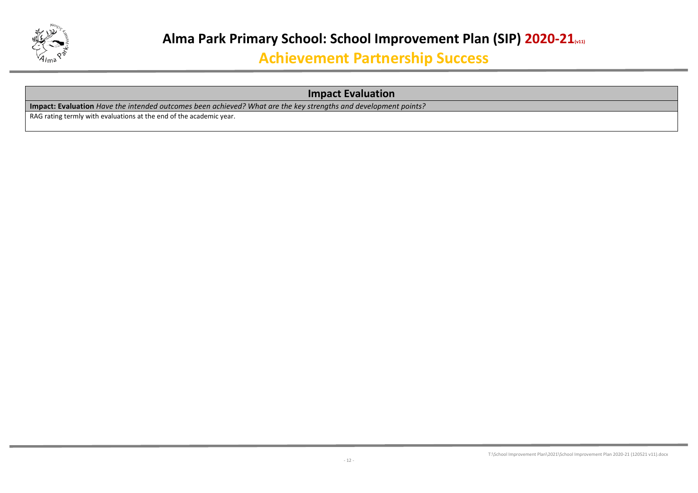

#### **Impact Evaluation**

**Impact: Evaluation** *Have the intended outcomes been achieved? What are the key strengths and development points?*

RAG rating termly with evaluations at the end of the academic year.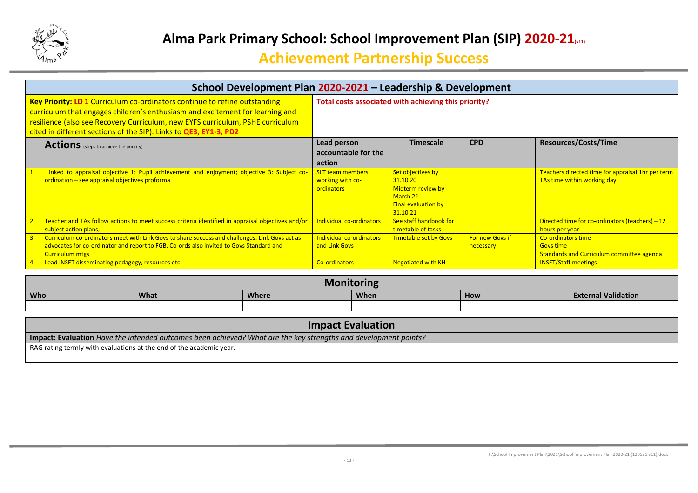

| School Development Plan 2020-2021 - Leadership & Development                                                                                                                                                                                                                                                       |                                                           |                                                                                                          |                 |                                                                                  |
|--------------------------------------------------------------------------------------------------------------------------------------------------------------------------------------------------------------------------------------------------------------------------------------------------------------------|-----------------------------------------------------------|----------------------------------------------------------------------------------------------------------|-----------------|----------------------------------------------------------------------------------|
| Key Priority: LD 1 Curriculum co-ordinators continue to refine outstanding<br>curriculum that engages children's enthusiasm and excitement for learning and<br>resilience (also see Recovery Curriculum, new EYFS curriculum, PSHE curriculum<br>cited in different sections of the SIP). Links to QE3, EY1-3, PD2 |                                                           | Total costs associated with achieving this priority?                                                     |                 |                                                                                  |
| <b>Actions</b> (steps to achieve the priority)                                                                                                                                                                                                                                                                     | Lead person                                               | <b>Timescale</b>                                                                                         | <b>CPD</b>      | <b>Resources/Costs/Time</b>                                                      |
|                                                                                                                                                                                                                                                                                                                    | accountable for the                                       |                                                                                                          |                 |                                                                                  |
|                                                                                                                                                                                                                                                                                                                    | action                                                    |                                                                                                          |                 |                                                                                  |
| Linked to appraisal objective 1: Pupil achievement and enjoyment; objective 3: Subject co-<br>ordination - see appraisal objectives proforma                                                                                                                                                                       | <b>SLT team members</b><br>working with co-<br>ordinators | Set objectives by<br>31.10.20<br>Midterm review by<br>March 21<br><b>Final evaluation by</b><br>31.10.21 |                 | Teachers directed time for appraisal 1hr per term<br>TAs time within working day |
| Teacher and TAs follow actions to meet success criteria identified in appraisal objectives and/or<br>subject action plans,                                                                                                                                                                                         | Individual co-ordinators                                  | See staff handbook for<br>timetable of tasks                                                             |                 | Directed time for co-ordinators (teachers) $-12$<br>hours per year               |
| Curriculum co-ordinators meet with Link Govs to share success and challenges. Link Govs act as<br>3.                                                                                                                                                                                                               | Individual co-ordinators                                  | <b>Timetable set by Govs</b>                                                                             | For new Govs if | Co-ordinators time                                                               |
| advocates for co-ordinator and report to FGB. Co-ords also invited to Govs Standard and                                                                                                                                                                                                                            | and Link Govs                                             |                                                                                                          | necessary       | <b>Govs time</b>                                                                 |
| <b>Curriculum mtgs</b>                                                                                                                                                                                                                                                                                             |                                                           |                                                                                                          |                 | <b>Standards and Curriculum committee agenda</b>                                 |
| Lead INSET disseminating pedagogy, resources etc<br>$-4.$                                                                                                                                                                                                                                                          | <b>Co-ordinators</b>                                      | <b>Negotiated with KH</b>                                                                                |                 | <b>INSET/Staff meetings</b>                                                      |

|            |             | <b>Monitoring</b> |             |     |                            |
|------------|-------------|-------------------|-------------|-----|----------------------------|
| <b>Who</b> | <b>What</b> | <b>Where</b>      | <b>When</b> | How | <b>External Validation</b> |
|            |             |                   |             |     |                            |

| <b>Impact Evaluation</b>                                                                                        |
|-----------------------------------------------------------------------------------------------------------------|
| Impact: Evaluation Have the intended outcomes been achieved? What are the key strengths and development points? |
| RAG rating termly with evaluations at the end of the academic year.                                             |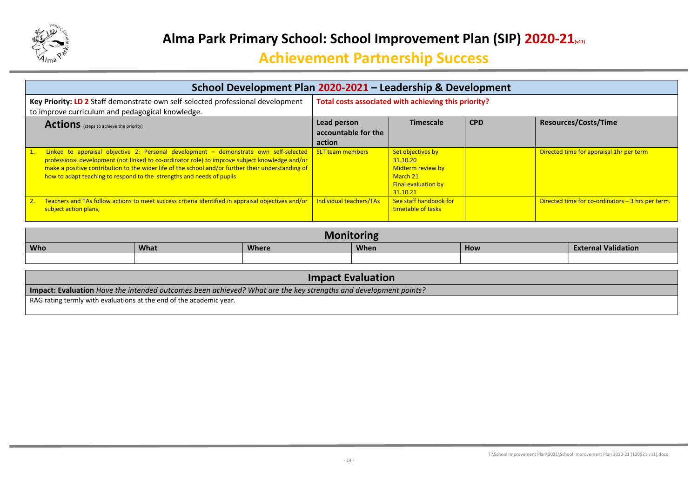

| School Development Plan 2020-2021 - Leadership & Development                                                                                                                                                                                                                                                                                                                            |                                                      |                                                                                                          |            |                                                    |  |  |
|-----------------------------------------------------------------------------------------------------------------------------------------------------------------------------------------------------------------------------------------------------------------------------------------------------------------------------------------------------------------------------------------|------------------------------------------------------|----------------------------------------------------------------------------------------------------------|------------|----------------------------------------------------|--|--|
| Key Priority: LD 2 Staff demonstrate own self-selected professional development<br>to improve curriculum and pedagogical knowledge.                                                                                                                                                                                                                                                     | Total costs associated with achieving this priority? |                                                                                                          |            |                                                    |  |  |
| <b>Actions</b> (steps to achieve the priority)                                                                                                                                                                                                                                                                                                                                          | Lead person<br>accountable for the<br>action         | <b>Timescale</b>                                                                                         | <b>CPD</b> | <b>Resources/Costs/Time</b>                        |  |  |
| Linked to appraisal objective 2: Personal development – demonstrate own self-selected SLT team members<br>professional development (not linked to co-ordinator role) to improve subject knowledge and/or<br>make a positive contribution to the wider life of the school and/or further their understanding of<br>how to adapt teaching to respond to the strengths and needs of pupils |                                                      | Set objectives by<br>31.10.20<br>Midterm review by<br>March 21<br><b>Final evaluation by</b><br>31.10.21 |            | Directed time for appraisal 1hr per term           |  |  |
| Teachers and TAs follow actions to meet success criteria identified in appraisal objectives and/or<br>subject action plans,                                                                                                                                                                                                                                                             | Individual teachers/TAs                              | See staff handbook for<br>timetable of tasks                                                             |            | Directed time for co-ordinators $-3$ hrs per term. |  |  |

| <b>Who</b> | What | <b>Where</b> | <b>When</b> | How | <b>External Validation</b> |
|------------|------|--------------|-------------|-----|----------------------------|
|            |      |              |             |     |                            |

| <b>Impact Evaluation</b>                                                                                               |
|------------------------------------------------------------------------------------------------------------------------|
| <b>Impact: Evaluation</b> Have the intended outcomes been achieved? What are the key strengths and development points? |
| RAG rating termly with evaluations at the end of the academic year.                                                    |
|                                                                                                                        |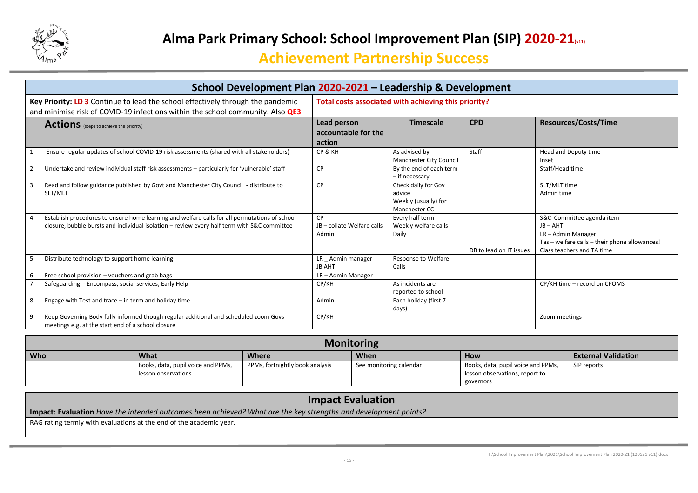

|    | School Development Plan 2020-2021 - Leadership & Development                                                                                                                                 |                                                  |                                                                        |                         |                                                                                                                                            |
|----|----------------------------------------------------------------------------------------------------------------------------------------------------------------------------------------------|--------------------------------------------------|------------------------------------------------------------------------|-------------------------|--------------------------------------------------------------------------------------------------------------------------------------------|
|    | Key Priority: LD 3 Continue to lead the school effectively through the pandemic<br>and minimise risk of COVID-19 infections within the school community. Also QE3                            |                                                  | Total costs associated with achieving this priority?                   |                         |                                                                                                                                            |
|    | <b>Actions</b> (steps to achieve the priority)                                                                                                                                               | Lead person<br>accountable for the<br>action     | <b>Timescale</b>                                                       | <b>CPD</b>              | <b>Resources/Costs/Time</b>                                                                                                                |
|    | Ensure regular updates of school COVID-19 risk assessments (shared with all stakeholders)                                                                                                    | CP & KH                                          | As advised by<br>Manchester City Council                               | Staff                   | Head and Deputy time<br>Inset                                                                                                              |
| 2. | Undertake and review individual staff risk assessments - particularly for 'vulnerable' staff                                                                                                 | <b>CP</b>                                        | By the end of each term<br>- if necessary                              |                         | Staff/Head time                                                                                                                            |
| 3. | Read and follow guidance published by Govt and Manchester City Council - distribute to<br>SLT/MLT                                                                                            | <b>CP</b>                                        | Check daily for Gov<br>advice<br>Weekly (usually) for<br>Manchester CC |                         | SLT/MLT time<br>Admin time                                                                                                                 |
| 4. | Establish procedures to ensure home learning and welfare calls for all permutations of school<br>closure, bubble bursts and individual isolation - review every half term with S&C committee | <b>CP</b><br>JB - collate Welfare calls<br>Admin | Every half term<br>Weekly welfare calls<br>Daily                       | DB to lead on IT issues | S&C Committee agenda item<br>$JB - AHT$<br>LR-Admin Manager<br>Tas - welfare calls - their phone allowances!<br>Class teachers and TA time |
| 5. | Distribute technology to support home learning                                                                                                                                               | LR Admin manager<br><b>JB AHT</b>                | Response to Welfare<br>Calls                                           |                         |                                                                                                                                            |
| 6. | Free school provision - vouchers and grab bags                                                                                                                                               | LR-Admin Manager                                 |                                                                        |                         |                                                                                                                                            |
|    | Safeguarding - Encompass, social services, Early Help                                                                                                                                        | CP/KH                                            | As incidents are<br>reported to school                                 |                         | CP/KH time - record on CPOMS                                                                                                               |
| 8. | Engage with Test and trace - in term and holiday time                                                                                                                                        | Admin                                            | Each holiday (first 7<br>days)                                         |                         |                                                                                                                                            |
| 9. | Keep Governing Body fully informed though regular additional and scheduled zoom Govs<br>meetings e.g. at the start end of a school closure                                                   | CP/KH                                            |                                                                        |                         | Zoom meetings                                                                                                                              |

|     |                                    |                                 | <b>Monitoring</b>       |                                    |                            |
|-----|------------------------------------|---------------------------------|-------------------------|------------------------------------|----------------------------|
| Who | What                               | <b>Where</b>                    | When                    | <b>How</b>                         | <b>External Validation</b> |
|     | Books, data, pupil voice and PPMs, | PPMs, fortnightly book analysis | See monitoring calendar | Books, data, pupil voice and PPMs, | SIP reports                |
|     | lesson observations                |                                 |                         | lesson observations, report to     |                            |
|     |                                    |                                 |                         | governors                          |                            |

| <b>Impact Evaluation</b>                                                                                        |
|-----------------------------------------------------------------------------------------------------------------|
| Impact: Evaluation Have the intended outcomes been achieved? What are the key strengths and development points? |
| I RAG rating termly with evaluations at the end of the academic year.                                           |
|                                                                                                                 |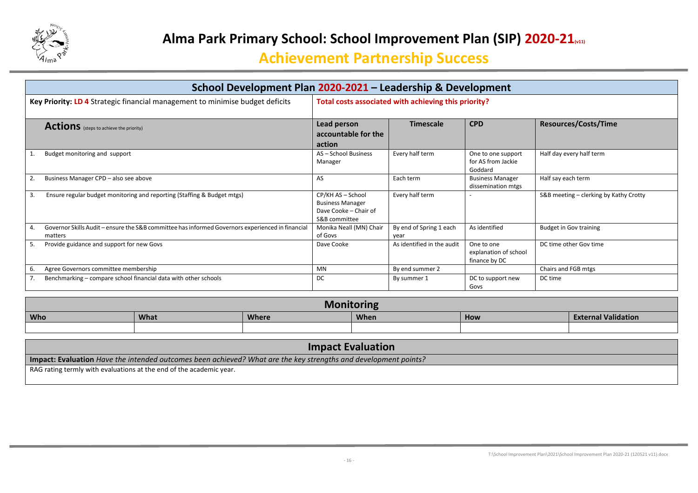

| School Development Plan 2020-2021 - Leadership & Development                                                |                                                                                        |                                 |                                                      |                                        |  |
|-------------------------------------------------------------------------------------------------------------|----------------------------------------------------------------------------------------|---------------------------------|------------------------------------------------------|----------------------------------------|--|
| Key Priority: LD 4 Strategic financial management to minimise budget deficits                               | Total costs associated with achieving this priority?                                   |                                 |                                                      |                                        |  |
| <b>Actions</b> (steps to achieve the priority)                                                              | Lead person<br>accountable for the<br>action                                           | <b>Timescale</b>                | <b>CPD</b>                                           | <b>Resources/Costs/Time</b>            |  |
| Budget monitoring and support<br>1.                                                                         | AS - School Business<br>Manager                                                        | Every half term                 | One to one support<br>for AS from Jackie<br>Goddard  | Half day every half term               |  |
| Business Manager CPD - also see above                                                                       | AS                                                                                     | Each term                       | <b>Business Manager</b><br>dissemination mtgs        | Half say each term                     |  |
| Ensure regular budget monitoring and reporting (Staffing & Budget mtgs)<br>3.                               | CP/KH AS - School<br><b>Business Manager</b><br>Dave Cooke - Chair of<br>S&B committee | Every half term                 |                                                      | S&B meeting - clerking by Kathy Crotty |  |
| Governor Skills Audit - ensure the S&B committee has informed Governors experienced in financial<br>matters | Monika Neall (MN) Chair<br>of Govs                                                     | By end of Spring 1 each<br>year | As identified                                        | <b>Budget in Gov training</b>          |  |
| Provide guidance and support for new Govs<br>5.                                                             | Dave Cooke                                                                             | As identified in the audit      | One to one<br>explanation of school<br>finance by DC | DC time other Gov time                 |  |
| Agree Governors committee membership<br>6.                                                                  | <b>MN</b>                                                                              | By end summer 2                 |                                                      | Chairs and FGB mtgs                    |  |
| Benchmarking – compare school financial data with other schools                                             | DC                                                                                     | By summer 1                     | DC to support new<br>Govs                            | DC time                                |  |

|            |      | <b>Monit</b> | 2000<br>.UI II II |     |                            |
|------------|------|--------------|-------------------|-----|----------------------------|
| <b>Who</b> | What | <b>Where</b> | <b>When</b>       | How | <b>External Validation</b> |
|            |      |              |                   |     |                            |

| <b>Impact Evaluation</b>                                                                                          |
|-------------------------------------------------------------------------------------------------------------------|
| [Impact: Evaluation Have the intended outcomes been achieved? What are the key strengths and development points?] |
| RAG rating termly with evaluations at the end of the academic year.                                               |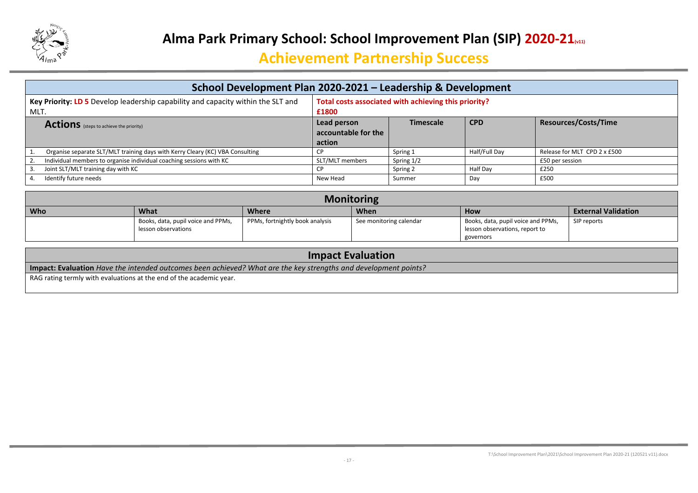

| School Development Plan 2020-2021 – Leadership & Development                                                                                              |                                              |                  |               |                              |  |  |
|-----------------------------------------------------------------------------------------------------------------------------------------------------------|----------------------------------------------|------------------|---------------|------------------------------|--|--|
| Total costs associated with achieving this priority?<br>Key Priority: LD 5 Develop leadership capability and capacity within the SLT and<br>MLT.<br>£1800 |                                              |                  |               |                              |  |  |
| <b>Actions</b> (steps to achieve the priority)                                                                                                            | Lead person<br>accountable for the<br>action | <b>Timescale</b> | <b>CPD</b>    | <b>Resources/Costs/Time</b>  |  |  |
| Organise separate SLT/MLT training days with Kerry Cleary (KC) VBA Consulting                                                                             |                                              | Spring 1         | Half/Full Day | Release for MLT CPD 2 x £500 |  |  |
| Individual members to organise individual coaching sessions with KC                                                                                       | SLT/MLT members                              | Spring 1/2       |               | £50 per session              |  |  |
| Joint SLT/MLT training day with KC                                                                                                                        |                                              | Spring 2         | Half Day      | £250                         |  |  |
| Identify future needs                                                                                                                                     | New Head                                     | Summer           | Day           | £500                         |  |  |

| <b>Monitoring</b> |                                    |                                 |                         |                                    |                            |  |  |
|-------------------|------------------------------------|---------------------------------|-------------------------|------------------------------------|----------------------------|--|--|
| Who               | What                               | <b>Where</b>                    | <b>When</b>             | <b>How</b>                         | <b>External Validation</b> |  |  |
|                   | Books, data, pupil voice and PPMs, | PPMs, fortnightly book analysis | See monitoring calendar | Books, data, pupil voice and PPMs, | SIP reports                |  |  |
|                   | lesson observations                |                                 |                         | lesson observations, report to     |                            |  |  |
|                   |                                    |                                 |                         | governors                          |                            |  |  |

| <b>Impact Evaluation</b>                                                                                          |
|-------------------------------------------------------------------------------------------------------------------|
| I Impact: Evaluation Have the intended outcomes been achieved? What are the key strengths and development points? |
| RAG rating termly with evaluations at the end of the academic year.                                               |
|                                                                                                                   |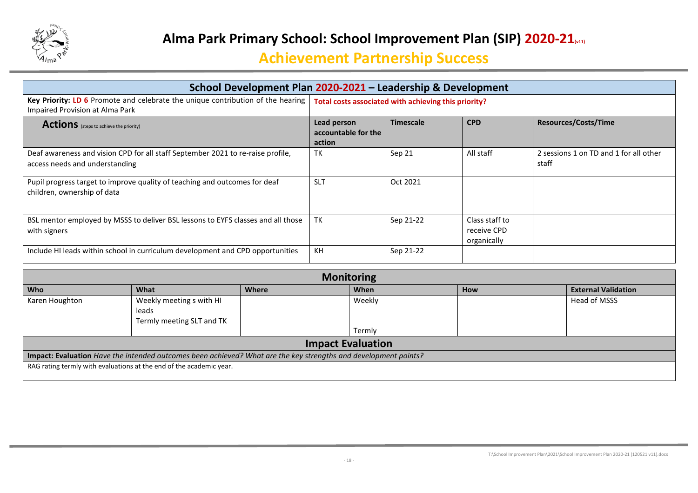

| School Development Plan 2020-2021 - Leadership & Development                                                       |                                                      |                  |                                              |                                                 |  |  |
|--------------------------------------------------------------------------------------------------------------------|------------------------------------------------------|------------------|----------------------------------------------|-------------------------------------------------|--|--|
| Key Priority: LD 6 Promote and celebrate the unique contribution of the hearing<br>Impaired Provision at Alma Park | Total costs associated with achieving this priority? |                  |                                              |                                                 |  |  |
| <b>Actions</b> (steps to achieve the priority)                                                                     | Lead person<br>accountable for the<br>action         | <b>Timescale</b> | <b>CPD</b>                                   | <b>Resources/Costs/Time</b>                     |  |  |
| Deaf awareness and vision CPD for all staff September 2021 to re-raise profile,<br>access needs and understanding  | TK                                                   | Sep 21           | All staff                                    | 2 sessions 1 on TD and 1 for all other<br>staff |  |  |
| Pupil progress target to improve quality of teaching and outcomes for deaf<br>children, ownership of data          | <b>SLT</b>                                           | Oct 2021         |                                              |                                                 |  |  |
| BSL mentor employed by MSSS to deliver BSL lessons to EYFS classes and all those<br>with signers                   | <b>TK</b>                                            | Sep 21-22        | Class staff to<br>receive CPD<br>organically |                                                 |  |  |
| Include HI leads within school in curriculum development and CPD opportunities                                     | KH                                                   | Sep 21-22        |                                              |                                                 |  |  |

| <b>Monitoring</b>                                                                                               |                           |       |        |     |                            |  |  |
|-----------------------------------------------------------------------------------------------------------------|---------------------------|-------|--------|-----|----------------------------|--|--|
| <b>Who</b>                                                                                                      | What                      | Where | When   | How | <b>External Validation</b> |  |  |
| Karen Houghton                                                                                                  | Weekly meeting s with HI  |       | Weekly |     | Head of MSSS               |  |  |
|                                                                                                                 | leads                     |       |        |     |                            |  |  |
|                                                                                                                 | Termly meeting SLT and TK |       |        |     |                            |  |  |
|                                                                                                                 |                           |       | Termly |     |                            |  |  |
| <b>Impact Evaluation</b>                                                                                        |                           |       |        |     |                            |  |  |
| Impact: Evaluation Have the intended outcomes been achieved? What are the key strengths and development points? |                           |       |        |     |                            |  |  |
| RAG rating termly with evaluations at the end of the academic year.                                             |                           |       |        |     |                            |  |  |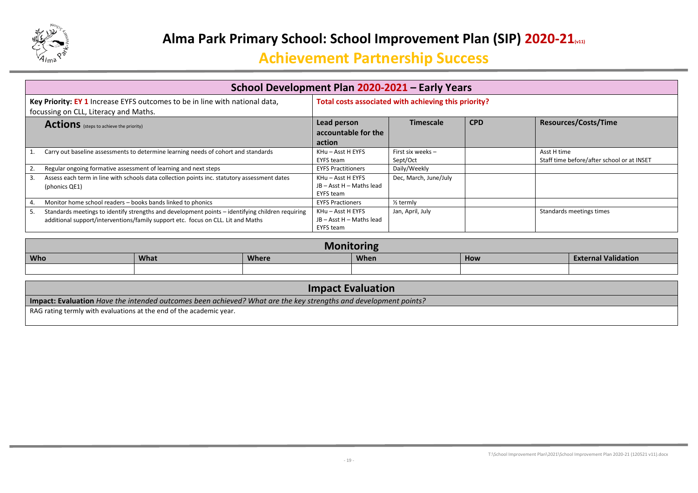

| School Development Plan 2020-2021 - Early Years                                                                                                                                            |                                                            |                               |            |                                                           |  |  |
|--------------------------------------------------------------------------------------------------------------------------------------------------------------------------------------------|------------------------------------------------------------|-------------------------------|------------|-----------------------------------------------------------|--|--|
| Total costs associated with achieving this priority?<br>Key Priority: EY 1 Increase EYFS outcomes to be in line with national data,<br>focussing on CLL, Literacy and Maths.               |                                                            |                               |            |                                                           |  |  |
| <b>Actions</b> (steps to achieve the priority)                                                                                                                                             | Lead person<br>accountable for the<br>action               | <b>Timescale</b>              | <b>CPD</b> | <b>Resources/Costs/Time</b>                               |  |  |
| Carry out baseline assessments to determine learning needs of cohort and standards                                                                                                         | KHu - Asst H EYFS<br>EYFS team                             | First six weeks -<br>Sept/Oct |            | Asst H time<br>Staff time before/after school or at INSET |  |  |
| Regular ongoing formative assessment of learning and next steps                                                                                                                            | <b>EYFS Practitioners</b>                                  | Daily/Weekly                  |            |                                                           |  |  |
| Assess each term in line with schools data collection points inc. statutory assessment dates<br>3.<br>(phonics QE1)                                                                        | KHu - Asst H EYFS<br>JB - Asst H - Maths lead<br>EYFS team | Dec, March, June/July         |            |                                                           |  |  |
| Monitor home school readers - books bands linked to phonics                                                                                                                                | <b>EYFS Practioners</b>                                    | $\frac{1}{2}$ termly          |            |                                                           |  |  |
| Standards meetings to identify strengths and development points – identifying children requiring<br>5.<br>additional support/interventions/family support etc. focus on CLL. Lit and Maths | KHu - Asst H EYFS<br>JB - Asst H - Maths lead<br>EYFS team | Jan, April, July              |            | Standards meetings times                                  |  |  |

| Monitoring |      |              |             |     |                            |  |
|------------|------|--------------|-------------|-----|----------------------------|--|
| <b>Who</b> | What | <b>Where</b> | <b>When</b> | How | <b>External Validation</b> |  |
|            |      |              |             |     |                            |  |

#### **Impact Evaluation**

**Impact: Evaluation** *Have the intended outcomes been achieved? What are the key strengths and development points?*

RAG rating termly with evaluations at the end of the academic year.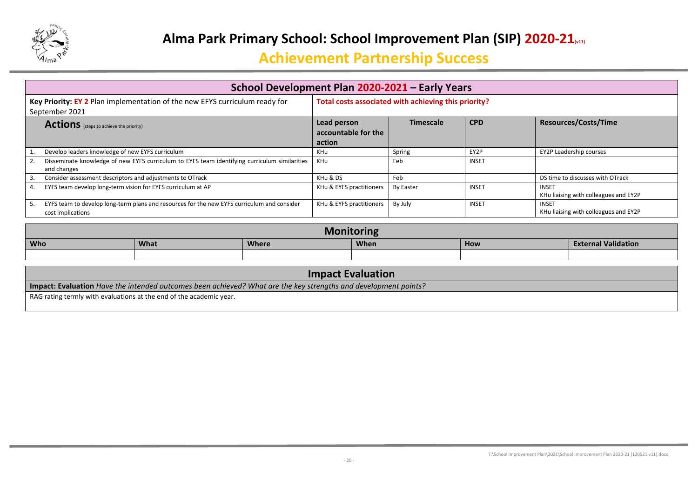

| School Development Plan 2020-2021 - Early Years                                                                  |                                                      |                  |              |                                                       |  |  |  |
|------------------------------------------------------------------------------------------------------------------|------------------------------------------------------|------------------|--------------|-------------------------------------------------------|--|--|--|
| Key Priority: EY 2 Plan implementation of the new EFYS curriculum ready for<br>September 2021                    | Total costs associated with achieving this priority? |                  |              |                                                       |  |  |  |
| <b>Actions</b> (steps to achieve the priority)                                                                   | Lead person<br>accountable for the<br>action         | <b>Timescale</b> | <b>CPD</b>   | <b>Resources/Costs/Time</b>                           |  |  |  |
| Develop leaders knowledge of new EYFS curriculum                                                                 | KHu                                                  | Spring           | EY2P         | <b>EY2P Leadership courses</b>                        |  |  |  |
| Disseminate knowledge of new EYFS curriculum to EYFS team identifying curriculum similarities<br>and changes     | KHu                                                  | Feb              | <b>INSET</b> |                                                       |  |  |  |
| Consider assessment descriptors and adjustments to OTrack                                                        | KHu & DS                                             | Feb              |              | DS time to discusses with OTrack                      |  |  |  |
| EYFS team develop long-term vision for EYFS curriculum at AP                                                     | KHu & EYFS practitioners                             | <b>By Easter</b> | <b>INSET</b> | <b>INSET</b><br>KHu liaising with colleagues and EY2P |  |  |  |
| EYFS team to develop long-term plans and resources for the new EYFS curriculum and consider<br>cost implications | KHu & EYFS practitioners                             | By July          | <b>INSET</b> | <b>INSET</b><br>KHu liaising with colleagues and EY2P |  |  |  |

| UIIII                                                    |  |  |  |  |                            |  |  |
|----------------------------------------------------------|--|--|--|--|----------------------------|--|--|
| <b>Who</b><br>What<br><b>Where</b><br><b>When</b><br>How |  |  |  |  | <b>External Validation</b> |  |  |
|                                                          |  |  |  |  |                            |  |  |
|                                                          |  |  |  |  |                            |  |  |

| <b>Impact Evaluation</b>                                                                                               |  |  |  |  |
|------------------------------------------------------------------------------------------------------------------------|--|--|--|--|
| <b>Impact: Evaluation</b> Have the intended outcomes been achieved? What are the key strengths and development points? |  |  |  |  |
| RAG rating termly with evaluations at the end of the academic year.                                                    |  |  |  |  |